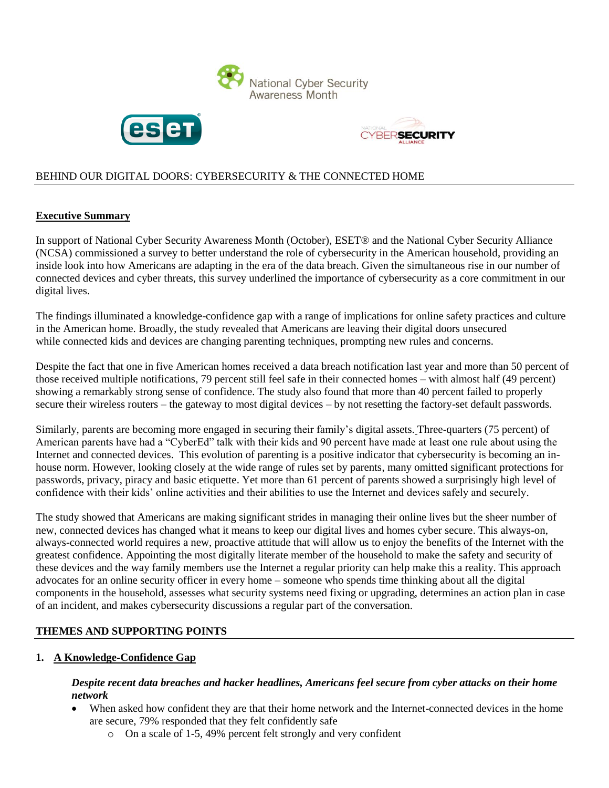





# BEHIND OUR DIGITAL DOORS: CYBERSECURITY & THE CONNECTED HOME

#### **Executive Summary**

In support of National Cyber Security Awareness Month (October), [ESET®](http://www.eset.com/int/) and the National Cyber Security Alliance (NCSA) commissioned a survey to better understand the role of cybersecurity in the American household, providing an inside look into how Americans are adapting in the era of the data breach. Given the simultaneous rise in our number of connected devices and cyber threats, this survey underlined the importance of cybersecurity as a core commitment in our digital lives.

The findings illuminated a knowledge-confidence gap with a range of implications for online safety practices and culture in the American home. Broadly, the study revealed that Americans are leaving their digital doors unsecured while connected kids and devices are changing parenting techniques, prompting new rules and concerns.

Despite the fact that one in five American homes received a data breach notification last year and more than 50 percent of those received multiple notifications, 79 percent still feel safe in their connected homes – with almost half (49 percent) showing a remarkably strong sense of confidence. The study also found that more than 40 percent failed to properly secure their wireless routers – the gateway to most digital devices – by not resetting the factory-set default passwords.

Similarly, parents are becoming more engaged in securing their family's digital assets. Three-quarters (75 percent) of American parents have had a "CyberEd" talk with their kids and 90 percent have made at least one rule about using the Internet and connected devices. This evolution of parenting is a positive indicator that cybersecurity is becoming an inhouse norm. However, looking closely at the wide range of rules set by parents, many omitted significant protections for passwords, privacy, piracy and basic etiquette. Yet more than 61 percent of parents showed a surprisingly high level of confidence with their kids' online activities and their abilities to use the Internet and devices safely and securely.

The study showed that Americans are making significant strides in managing their online lives but the sheer number of new, connected devices has changed what it means to keep our digital lives and homes cyber secure. This always-on, always-connected world requires a new, proactive attitude that will allow us to enjoy the benefits of the Internet with the greatest confidence. Appointing the most digitally literate member of the household to make the safety and security of these devices and the way family members use the Internet a regular priority can help make this a reality. This approach advocates for an online security officer in every home – someone who spends time thinking about all the digital components in the household, assesses what security systems need fixing or upgrading, determines an action plan in case of an incident, and makes cybersecurity discussions a regular part of the conversation.

## **THEMES AND SUPPORTING POINTS**

#### **1. A Knowledge-Confidence Gap**

#### *Despite recent data breaches and hacker headlines, Americans feel secure from cyber attacks on their home network*

- When asked how confident they are that their home network and the Internet-connected devices in the home are secure, 79% responded that they felt confidently safe
	- o On a scale of 1-5, 49% percent felt strongly and very confident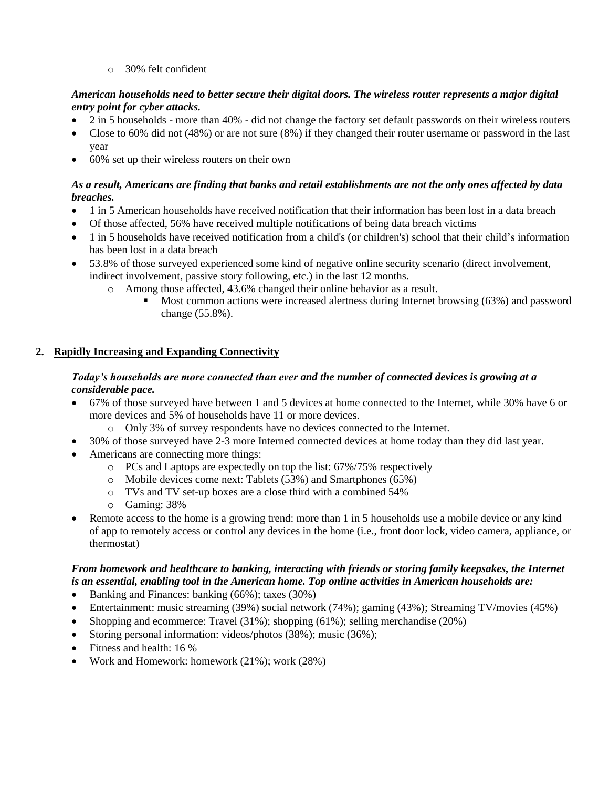o 30% felt confident

## *American households need to better secure their digital doors. The wireless router represents a major digital entry point for cyber attacks.*

- 2 in 5 households more than 40% did not change the factory set default passwords on their wireless routers
- Close to 60% did not (48%) or are not sure (8%) if they changed their router username or password in the last year
- 60% set up their wireless routers on their own

## *As a result, Americans are finding that banks and retail establishments are not the only ones affected by data breaches.*

- 1 in 5 American households have received notification that their information has been lost in a data breach
- Of those affected, 56% have received multiple notifications of being data breach victims
- 1 in 5 households have received notification from a child's (or children's) school that their child's information has been lost in a data breach
- 53.8% of those surveyed experienced some kind of negative online security scenario (direct involvement, indirect involvement, passive story following, etc.) in the last 12 months.
	- o Among those affected, 43.6% changed their online behavior as a result.
		- Most common actions were increased alertness during Internet browsing (63%) and password change (55.8%).

# **2. Rapidly Increasing and Expanding Connectivity**

#### *Today's households are more connected than ever and the number of connected devices is growing at a considerable pace.*

- 67% of those surveyed have between 1 and 5 devices at home connected to the Internet, while 30% have 6 or more devices and 5% of households have 11 or more devices.
	- o Only 3% of survey respondents have no devices connected to the Internet.
- 30% of those surveyed have 2-3 more Interned connected devices at home today than they did last year.
- Americans are connecting more things:
	- o PCs and Laptops are expectedly on top the list: 67%/75% respectively
	- o Mobile devices come next: Tablets (53%) and Smartphones (65%)
	- o TVs and TV set-up boxes are a close third with a combined 54%
	- o Gaming: 38%
- Remote access to the home is a growing trend: more than 1 in 5 households use a mobile device or any kind of app to remotely access or control any devices in the home (i.e., front door lock, video camera, appliance, or thermostat)

# *From homework and healthcare to banking, interacting with friends or storing family keepsakes, the Internet is an essential, enabling tool in the American home. Top online activities in American households are:*

- Banking and Finances: banking (66%); taxes (30%)
- Entertainment: music streaming (39%) social network (74%); gaming (43%); Streaming TV/movies (45%)
- Shopping and ecommerce: Travel  $(31\%)$ ; shopping  $(61\%)$ ; selling merchandise  $(20\%)$
- Storing personal information: videos/photos (38%); music (36%);
- Fitness and health: 16 %
- Work and Homework: homework (21%); work (28%)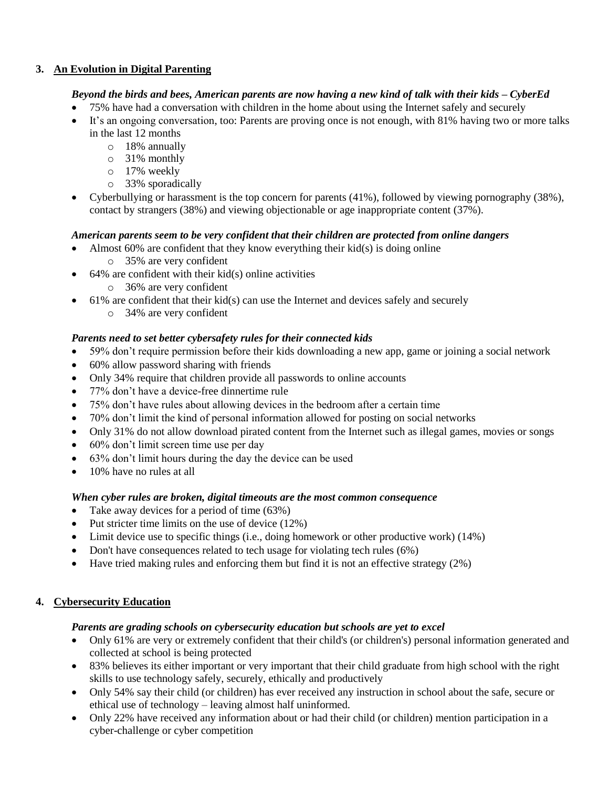## **3. An Evolution in Digital Parenting**

## *Beyond the birds and bees, American parents are now having a new kind of talk with their kids – CyberEd*

- 75% have had a conversation with children in the home about using the Internet safely and securely
- It's an ongoing conversation, too: Parents are proving once is not enough, with 81% having two or more talks in the last 12 months
	- o 18% annually
	- o 31% monthly
	- o 17% weekly
	- o 33% sporadically
- Cyberbullying or harassment is the top concern for parents (41%), followed by viewing pornography (38%), contact by strangers (38%) and viewing objectionable or age inappropriate content (37%).

## *American parents seem to be very confident that their children are protected from online dangers*

- Almost 60% are confident that they know everything their kid(s) is doing online
	- o 35% are very confident
- 64% are confident with their kid(s) online activities
	- o 36% are very confident
- 61% are confident that their kid(s) can use the Internet and devices safely and securely
	- o 34% are very confident

## *Parents need to set better cybersafety rules for their connected kids*

- 59% don't require permission before their kids downloading a new app, game or joining a social network
- 60% allow password sharing with friends
- Only 34% require that children provide all passwords to online accounts
- 77% don't have a device-free dinnertime rule
- 75% don't have rules about allowing devices in the bedroom after a certain time
- 70% don't limit the kind of personal information allowed for posting on social networks
- Only 31% do not allow download pirated content from the Internet such as illegal games, movies or songs
- $\bullet$  60% don't limit screen time use per day
- 63% don't limit hours during the day the device can be used
- 10% have no rules at all

## *When cyber rules are broken, digital timeouts are the most common consequence*

- Take away devices for a period of time (63%)
- Put stricter time limits on the use of device  $(12\%)$
- Limit device use to specific things (i.e., doing homework or other productive work) (14%)
- Don't have consequences related to tech usage for violating tech rules (6%)
- $\bullet$  Have tried making rules and enforcing them but find it is not an effective strategy (2%)

## **4. Cybersecurity Education**

## *Parents are grading schools on cybersecurity education but schools are yet to excel*

- Only 61% are very or extremely confident that their child's (or children's) personal information generated and collected at school is being protected
- 83% believes its either important or very important that their child graduate from high school with the right skills to use technology safely, securely, ethically and productively
- Only 54% say their child (or children) has ever received any instruction in school about the safe, secure or ethical use of technology – leaving almost half uninformed.
- Only 22% have received any information about or had their child (or children) mention participation in a cyber-challenge or cyber competition